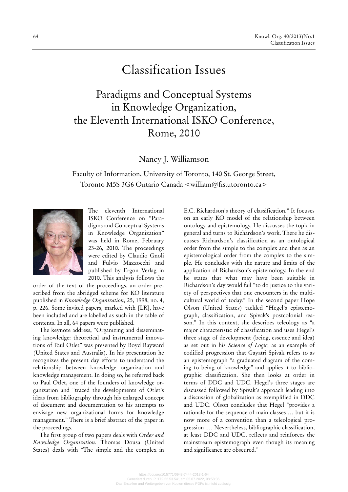## Classification Issues

Paradigms and Conceptual Systems in Knowledge Organization, the Eleventh International ISKO Conference, Rome, 2010

Nancy J. Williamson

Faculty of Information, University of Toronto, 140 St. George Street, Toronto M5S 3G6 Ontario Canada <william@fis.utoronto.ca>



The eleventh International ISKO Conference on "Paradigms and Conceptual Systems in Knowledge Organization" was held in Rome, February 23-26, 2010. The proceedings were edited by Claudio Gnoli and Fulvio Mazzocchi and published by Ergon Verlag in 2010. This analysis follows the

order of the text of the proceedings, an order prescribed from the abridged scheme for KO literature published in *Knowledge Organization,* 25, 1998, no. 4, p. 226. Some invited papers, marked with [LR], have been included and are labelled as such in the table of contents. In all, 64 papers were published.

The keynote address, **"**Organizing and disseminating knowledge: theoretical and instrumental innovations of Paul Otlet" was presented by Boyd Rayward (United States and Australia). In his presentation he recognizes the present day efforts to understand the relationship between knowledge organization and knowledge management. In doing so, he referred back to Paul Otlet, one of the founders of knowledge organization and "traced the developments of Otlet's ideas from bibliography through his enlarged concept of document and documentation to his attempts to envisage new organizational forms for knowledge management." There is a brief abstract of the paper in the proceedings.

The first group of two papers deals with *Order and Knowledge Organization.* Thomas Dousa (United States) deals with "The simple and the complex in E.C. Richardson's theory of classification." It focuses on an early KO model of the relationship between ontology and epistemology. He discusses the topic in general and turns to Richardson's work. There he discusses Richardson's classification as an ontological order from the simple to the complex and then as an epistemological order from the complex to the simple. He concludes with the nature and limits of the application of Richardson's epistemology. In the end he states that what may have been suitable in Richardson's day would fail "to do justice to the variety of perspectives that one encounters in the multicultural world of today." In the second paper Hope Olson (United States) tackled "Hegel's epistemograph, classification, and Spivak's postcolonial reason." In this context, she describes teleology as "a major characteristic of classification and uses Hegel's three stage of development (being, essence and idea) as set out in his *Science of Logic,* as an example of codified progression that Gayatri Spivak refers to as an epistemograph "a graduated diagram of the coming to being of knowledge" and applies it to bibliographic classification. She then looks at order in terms of DDC and UDC. Hegel's three stages are discussed followed by Spivak's approach leading into a discussion of globalization as exemplified in DDC and UDC. Olson concludes that Hegel "provides a rationale for the sequence of main classes … but it is now more of a convention than a teleological progression .… Nevertheless, bibliographic classification, at least DDC and UDC, reflects and reinforces the mainstream epistemograph even though its meaning and significance are obscured."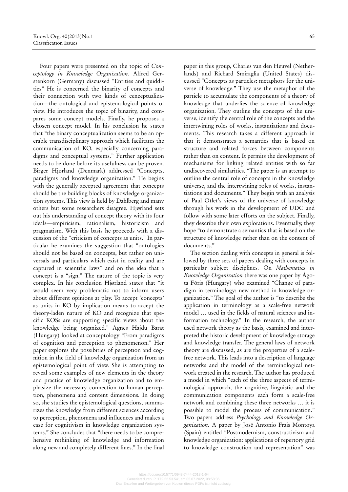Four papers were presented on the topic of *Conceptology in Knowledge Organization.* Alfred Gerstenkorn (Germany) discussed "Entities and quiddities" He is concerned the binarity of concepts and their connection with two kinds of cenceptualization—the ontological and epistemological points of view. He introduces the topic of binarity, and compares some concept models. Finally, he proposes a chosen concept model. In his conclusion he states that "the binary conceptualization seems to be an operable transdisciplinary approach which facilitates the communication of KO, especially concerning paradigms and conceptual systems." Further application needs to be done before its usefulness can be proven. Birger Hjørland (Denmark) addressed "Concepts, paradigms and knowledge organization." He begins with the generally accepted agreement that concepts should be the building blocks of knowledge organization systems. This view is held by Dahlberg and many others but some researchers disagree. Hjørland sets out his understanding of concept theory with its four ideals—empiricism, rationalism, historicism and pragmatism. With this basis he proceeds with a discussion of the "criticism of concepts as units." In particular he examines the suggestion that "ontologies should not be based on concepts, but rather on universals and particulars which exist in reality and are captured in scientific laws" and on the idea that a concept is a "sign." The nature of the topic is very complex. In his conclusion Hjørland states that "it would seem very problematic not to inform users about different opinions at play. To accept 'concepts' as units in KO by implication means to accept the theory-laden nature of KO and recognize that specific KOSs are supporting specific views about the knowledge being organized." Agnes Hajdu Barat (Hungary) looked at conceptology "From paradigms of cognition and perception to phenomenon." Her paper explores the possibities of perception and cognition in the field of knowledge organization from an epistemological point of view. She is attempting to reveal some examples of new elements in the theory and practice of knowledge organization and to emphasize the necessary connection to human perception, phenomena and content dimensions. In doing so, she studies the epistemological questions, summarizes the knowledge from different sciences according to perception, phenomena and influences and makes a case for cognitivism in knowledge organization systems." She concludes that "there needs to be comprehensive rethinking of knowledge and information along new and completely different lines." In the final paper in this group, Charles van den Heuvel (Netherlands) and Richard Smiraglia (United States) discussed "Concepts as particles: metaphors for the universe of knowledge." They use the metaphor of the particle to accumulate the components of a theory of knowledge that underlies the science of knowledge organization. They outline the concepts of the universe, identify the central role of the concepts and the intertwining roles of works, instantiations and documents. This research takes a different approach in that it demonstrates a semantics that is based on structure and related forces between components rather than on content. It permits the development of mechanisms for linking related entities with so far undiscovered similarities. "The paper is an attempt to outline the central role of concepts in the knowledge universe, and the intertwining roles of works, instantiations and documents." They begin with an analysis of Paul Otlet's views of the universe of knowledge through his work in the development of UDC and follow with some later efforts on the subject. Finally, they describe their own explorations. Eventually, they hope "to demonstrate a semantics that is based on the structure of knowledge rather than on the content of documents."

The section dealing with concepts in general is followed by three sets of papers dealing with concepts in particular subject disciplines. On *Mathematics in Knowledge Organization* there was one paper by Ágota Fóris (Hungary) who examined "Change of paradigm in terminology: new method in knowledge organization." The goal of the author is "to describe the application in terminology as a scale-free network model … used in the fields of natural sciences and information technology." In the research, the author used network theory as the basis, examined and interpreted the historic development of knowledge storage and knowledge transfer. The general laws of network theory are discussed, as are the properties of a scalefree network. This leads into a description of language networks and the model of the terminological network created in the research. The author has produced a model in which "each of the three aspects of terminological approach, the cognitive, linguistic and the communication components each form a scale-free network and combining these three networks … it is possible to model the process of communication." Two papers address *Psychology and Knowledge Organization.* A paper by José Antonio Frais Montoya (Spain) entitled "Postmodernism, constructivism and knowledge organization: applications of repertory grid to knowledge construction and representation" was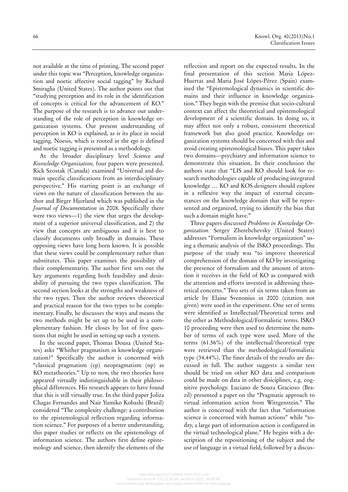not available at the time of printing. The second paper under this topic was "Perception, knowledge organization and noetic affective social tagging" by Richard Smiraglia (United States). The author points out that "studying perception and its role in the identification of concepts is critical for the advancement of KO." The purpose of the research is to advance our understanding of the role of perception in knowledge organization systems. Our present understanding of perception in KO is explained, as is its place in social tagging. Noesis, which is rooted in the *ego* is defined and noetic tagging is presented as a methodology.

At the broader disciplinary level *Science and Knowledge Organization,* four papers were presented. Rick Szostak (Canada) examined "Universal and domain specific classifications from an interdisciplinary perspective." His starting point is an exchange of views on the nature of classification between the author and Birger Hjorland which was published in the *Journal of Documentation* in 2008. Specifically there were two views—1) the view that urges the development of a superior universal classification, and 2) the view that concepts are ambiguous and it is best to classify documents only broadly in domains. These opposing views have long been known. It is possible that these views could be complementary rather than substitutes. This paper examines the possibility of their complementarity. The author first sets out the key arguments regarding both feasibility and desirability of pursuing the two types classification. The second section looks at the strengths and weakness of the two types. Then the author reviews theoretical and practical reason for the two types to be complementary. Finally, he discusses the ways and means the two methods might be set up to be used in a complementary fashion. He closes by list of five questions that might be used in setting up such a system.

In the second paper, Thomas Dousa (United States) asks "Whither pragmatism in knowledge organization?" Specifically the author is concerned with "classical pragmatism (cp) neopragmatism (np) as KO metatheories." Up to now, the two theories have appeared virtually indistinguishable in their philosophical differences. His research appears to have found that this is still virtually true. In the third paper Joliza Chagas Fernandes and Nair Yumiko Kobashi (Brazil) considered "The complexity challenge: a contribution to the epistemological reflection regarding information science." For purposes of a better understanding, this paper studies or reflects on the epistemology of information science. The authors first define epistemology and science, then identify the elements of the

reflection and report on the expected results. In the final presentation of this section Maria López-Huertas and Maria José Lópes-Pérez (Spain) examined the "Epistemological dynamics in scientific domains and their influence in knowledge organization." They begin with the premise that socio-cultural context can affect the theoretical and epistemological development of a scientific domain. In doing so, it may affect not only a robust, consistent theoretical framework but also good practice. Knowledge organization systems should be concerned with this and avoid creating epistemological biases. This paper takes two domains—psychiatry and information science to demonstrate this situation. In their conclusion the authors state that "LIS and KO should look for research methodologies capable of producing integrated knowledge … KO and KOS designers should explore in a reflexive way the impact of external circumstances on the knowledge domain that will be represented and organized, trying to identify the bias that such a domain might have."

Three papers discussed *Problems in Knowledge Organization.* Sergey Zherebchevsky (United States) addresses "Formalism in knowledge organization" using a thematic analysis of the ISKO proceedings. The purpose of the study was "to improve theoretical comprehension of the domain of KO by investigating the presence of formalism and the amount of attention it receives in the field of KO as compared with the attention and efforts invested in addressing theoretical concerns." Two sets of six terms taken from an article by Elaine Svenonius in 2000 (citation not given) were used in the experiment. One set of terms were identified as Intellectual/Theoretical terms and the other as Methodological/Formalistic terms. ISKO 10 proceeding were then used to determine the number of terms of each type were used. More of the terms (61.56%) of the intellectual/theoretical type were retrieved than the methodological/formalistic type (34.44%). The finer details of the results are discussed in full. The author suggests a similar test should be tried on other KO data and comparison could be made on data in other disiciplines, e.g. cognitive psychology. Luciano de Souza Gracioso (Brazil) presented a paper on the "Pragmatic approach to virtual information action from Wittgenstein." The author is concerned with the fact that "information science is concerned with human actions" while "today, a large part of information action is configured in the virtual technological plane." He begins with a description of the repositioning of the subject and the use of language in a virtual field, followed by a discus-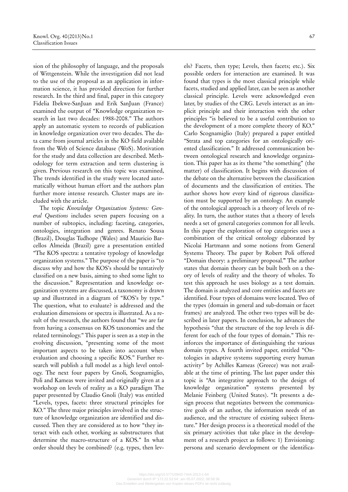sion of the philosophy of language, and the proposals of Wittgenstein. While the investigation did not lead to the use of the proposal as an application in information science, it has provided direction for further research. In the third and final, paper in this category Fidelia Ibekwe-SanJuan and Erik SanJuan (France) examined the output of "Knowledge organization research in last two decades: 1988-2008." The authors apply an automatic system to records of publication in knowledge organization over two decades. The data came from journal articles in the KO field available from the Web of Science database (WoS). Motivation for the study and data collection are described. Methodology for term extraction and term clustering is given. Previous research on this topic was examined, The trends identified in the study were located automatically without human effort and the authors plan further more intense research. Cluster maps are included with the article.

The topic *Knowledge Organization Systems: General Questions* includes seven papers focusing on a number of subtopics, including: faceting, categories, ontologies, integration and genres. Renato Sousa (Brazil), Douglas Tudhope (Wales) and Mauricio Barcellos Almeida (Brazil) gave a presentation entitled "The KOS spectra: a tentative typology of knowledge organization systems." The purpose of the paper is "to discuss why and how the KOS's should be tentatively classified on a new basis, aiming to shed some light to the discussion." Representation and knowledge organization systems are discussed, a taxonomy is drawn up and illustrated in a diagram of "KOS's by type." The question, what to evaluate? is addressed and the evaluation dimensions or spectra is illustrated. As a result of the research, the authors found that "we are far from having a consensus on KOS taxonomies and the related terminology." This paper is seen as a step in the evolving discussion, "presenting some of the most important aspects to be taken into account when evaluation and choosing a specific KOS." Further research will publish a full model as a high level ontology. The next four papers by Gnoli, Scognamiglio, Poli and Kameas were invited and originally given at a workshop on levels of reality as a KO paradigm The paper presented by Claudio Gnoli (Italy) was entitled "Levels, types, facets: three structural principles for KO." The three major principles involved in the structure of knowledge organization are identified and discussed. Then they are considered as to how "they interact with each other, working as substructures that determine the macro-structure of a KOS." In what order should they be combined? (e.g. types, then levels? Facets, then type; Levels, then facets; etc.). Six possible orders for interaction are examined. It was found that types is the most classical principle while facets, studied and applied later, can be seen as another classical principle. Levels were acknowledged even later, by studies of the CRG. Levels interact as an implicit principle and their interaction with the other principles "is believed to be a useful contribution to the development of a more complete theory of KO." Carlo Scognamiglio (Italy) prepared a paper entitled "Strata and top categories for an ontologically oriented classification." It addressed communication between ontological research and knowledge organization. This paper has as its theme "the something" (the matter) of classification. It begins with discussion of the debate on the alternative between the classification of documents and the classification of entities. The author shows how every kind of rigorous classification must be supported by an ontology. An example of the ontological approach is a theory of levels of reality. In turn, the author states that a theory of levels needs a set of general categories common for all levels. In this paper the exploration of top categories uses a combination of the critical ontology elaborated by Nicolai Hartmann and some notions from General Systems Theory. The paper by Robert Poli offered "Domain theory: a preliminary proposal.**"** The author states that domain theory can be built both on a theory of levels of reality and the theory of wholes. To test this approach he uses biology as a test domain. The domain is analyzed and core entities and facets are identified. Four types of domains were located. Two of the types (domain in general and sub-domain or facet frames*)* are analyzed. The other two types will be described in later papers. In conclusion, he advances the hypothesis "that the structure of the top levels is different for each of the four types of domain." This reinforces the importance of distinguishing the various domain types. A fourth invited paper, entitled "Ontologies in adaptive systems supporting every human activity" by Achilles Kameas (Greece) was not available at the time of printing. The last paper under this topic is "An integrative approach to the design of knowledge organization**"** systems presented by Melanie Feinberg (United States). "It presents a design process that negotiates between the communicative goals of an author, the information needs of an audience, and the structure of existing subject literature." Her design process is a theoretical model of the six primary activities that take place in the development of a research project as follows: 1) Envisioning:

persona and scenario development or the identifica-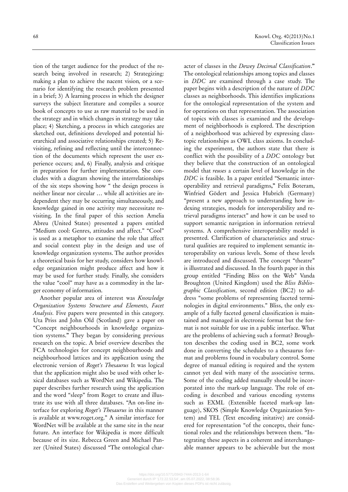tion of the target audience for the product of the research being involved in research; 2) Strategizing: making a plan to achieve the nacent vision*,* or a scenario for identifying the research problem presented in a brief; 3) A learning process in which the designer surveys the subject literature and compiles a source book of concepts to use as raw material to be used in the strategy and in which changes in strategy may take place; 4) Sketching, a process in which categories are sketched out, definitions developed and potential hierarchical and associative relationships created; 5) Revisiting, refining and reflecting until the interconnection of the documents which represent the user experience occurs; and, 6) Finally, analysis and critique in preparation for further implementation. She concludes with a diagram showing the interrelationships of the six steps showing how " the design process is neither linear nor circular … while all activities are independent they may be occurring simultaneously, and knowledge gained in one activity may necessitate revisiting. In the final paper of this section Amelia Abreu (United States) presented a papers entitled "Medium cool: Genres, attitudes and affect." "Cool" is used as a metaphor to examine the role that affect and social context play in the design and use of knowledge organization systems. The author provides a theoretical basis for her study, considers how knowledge organization might produce affect and how it may be used for further study. Finally, she considers the value "cool" may have as a commodity in the larger economy of information.

Another popular area of interest was *Knowledge Organization Systems Structure and Elements, Facet Analysis.* Five papers were presented in this category. Uta Priss and John Old (Scotland) gave a paper on "Concept neighbourhoods in knowledge organization systems.**"** They began by considering previous research on the topic. A brief overview describes the FCA technologies for concept neighbourhoods and neighbourhood lattices and its application using the electronic version of *Roget's Thesaurus* It was logical that the application might also be used with other lexical databases such as WordNet and Wikipedia. The paper describes further research using the application and the word "sleep" from Roget to create and illustrate its use with all three databases. "An on-line interface for exploring *Roget's Thesaurus* in this manner is available at www.roget.org." A similar interface for WordNet will be available at the same site in the near future. An interface for Wikipedia is more difficult because of its size. Rebecca Green and Michael Panzer (United States) discussed "The ontological character of classes in the *Dewey Decimal Classification*.**"** The ontological relationships among topics and classes in *DDC* are examined through a case study. The paper begins with a description of the nature of *DDC* classes as neighborhoods. This identifies implications for the ontological representation of the system and for operations on that representation. The association of topics with classes is examined and the development of neighborhoods is explored. The description of a neighborhood was achieved by expressing classtopic relationships as OWL class axioms. In concluding the experiment, the authors state that there is conflict with the possibility of a *DDC* ontology but they believe that the construction of an ontological model that *reuses* a certain level of knowledge in the *DDC* is feasible. In a paper entitled "Semantic interoperability and retrieval paradigms**,"** Felix Boteram, Winfried Gödert and Jessica Hubrich (Germany) "present a new approach to understanding how indexing strategies, models for interoperability and retrieval paradigms interact" and how it can be used to support semantic navigation in information retrieval systems. A comprehensive interoperability model is presented. Clarification of characteristics and structural qualities are required to implement semantic interoperability on various levels. Some of these levels are introduced and discussed. The concept "theatre" is illustrated and discussed. In the fourth paper in this group entitled "Finding Bliss on the Web" Vanda Broughton (United Kingdom) used the *Bliss Bibliographic Classification,* second edition (BC2) to address "some problems of representing faceted terminologies in digital environments." Bliss, the only example of a fully faceted general classification is maintained and managed in electronic format but the format is not suitable for use in a public interface. What are the problems of achieving such a format? Broughton describes the coding used in BC2, some work done in converting the schedules to a thesaurus format and problems found in vocabulary control. Some degree of manual editing is required and the system cannot yet deal with many of the associative terms. Some of the coding added manually should be incorporated into the mark-up language. The role of encoding is described and various encoding systems such as EXML (Extensible faceted mark-up language), SKOS (Simple Knowledge Organization System) and TEL (Text encoding initative) are considered for representation "of the concepts, their functional roles and the relationships between them. "Integrating these aspects in a coherent and interchangeable manner appears to be achievable but the most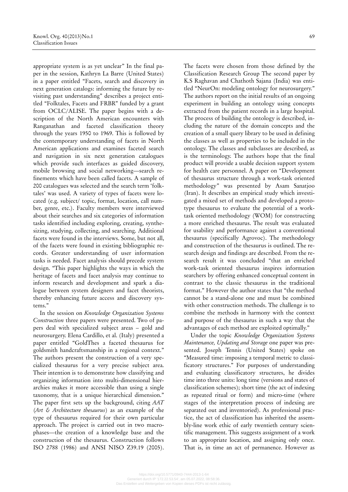appropriate system is as yet unclear" In the final paper in the session, Kathryn La Barre (United States) in a paper entitled "Facets, search and discovery in next generation catalogs: informing the future by revisiting past understanding" describes a project entitled "Folktales, Facets and FRBR" funded by a grant from OCLC/ALISE. The paper begins with a description of the North American encounters with Ranganathan and faceted classification theory through the years 1950 to 1969. This is followed by the contemporary understanding of facets in North American applications and examines faceted search and navigation in six next generation catalogues which provide such interfaces as guided discovery, mobile browsing and social networking—search refinements which have been called facets. A sample of 200 catalogues was selected and the search term 'folktales' was used. A variety of types of facets were located (e.g. subject/ topic, format, location, call number, genre, etc.). Faculty members were interviewed about their searches and six categories of information tasks identified including exploring, creating, synthesizing, studying, collecting, and searching. Additional facets were found in the interviews. Some, but not all, of the facets were found in existing bibliographic records. Greater understanding of user information tasks is needed. Facet analysis should precede system design. "This paper highlights the ways in which the heritage of facets and facet analysis may continue to inform research and development and spark a dialogue between system designers and facet theorists, thereby enhancing future access and discovery systems."

In the session on *Knowledge Organization Systems Construction* three papers were presented. Two of papers deal with specialized subject areas – gold and neurosurgery. Elena Cardillo, et al. (Italy) presented a paper entitled "GoldThes a faceted thesaurus for goldsmith handcraftsmanship in a regional context." The authors present the construction of a very specialized thesaurus for a very precise subject area. Their intention is to demonstrate how classifying and organizing information into multi-dimensional hierarchies makes it more accessible than using a single taxonomy, that is a unique hierarchical dimension." The paper first sets up the background, citing *AAT* (*Art & Architecture thesaurus*) as an example of the type of thesaurus required for their own particular approach. The project is carried out in two macrophases—the creation of a knowledge base and the construction of the thesaurus. Construction follows ISO 2788 (1986) and ANSI NISO Z39.19 (2005).

The facets were chosen from those defined by the Classification Research Group The second paper by K.S Raghavan and Chathoth Sajana (India) was entitled "NeurOn: modeling ontology for neurosurgery." The authors report on the initial results of an ongoing experiment in building an ontology using concepts extracted from the patient records in a large hospital. The process of building the ontology is described, including the nature of the domain concepts and the creation of a small query library to be used in defining the classes as well as properties to be included in the ontology. The classes and subclasses are described, as is the terminology. The authors hope that the final product will provide a usable decision support system for health care personnel. A paper on "Development of thesaurus structure through a work-task oriented methodology" was presented by Asam Sanatjoo (Iran). It describes an empirical study which investigated a mixed set of methods and developed a prototype thesaurus to evaluate the potential of a worktask oriented methodology (WOM) for constructing a more enriched thesaurus. The result was evaluated for usability and performance against a conventional thesaurus (specifically Agrovoc). The methodology and construction of the thesaurus is outlined. The research design and findings are described. From the research result it was concluded "that an enriched work-task oriented thesaurus inspires information searchers by offering enhanced conceptual content in contrast to the classic thesaurus in the traditional format." However the author states that "the method cannot be a stand-alone one and must be combined with other construction methods. The challenge is to combine the methods in harmony with the context and purpose of the thesaurus in such a way that the advantages of each method are exploited optimally."

Under the topic *Knowledge Organization Systems Maintenance, Updating and Storage* one paper was presented. Joseph Tennis (United States) spoke on "Measured time: imposing a temporal metric to classificatory structures." For purposes of understanding and evaluating classificatory structures, he divides time into three units: long time (versions and states of classification schemes); short time (the act of indexing as repeated ritual or form) and micro-time (where stages of the interpretation process of indexing are separated out and inventoried). As professional practice, the act of classification has inherited the assembly-line work ethic of early twentieth century scientific management. This suggests assignment of a work to an appropriate location, and assigning only once. That is, in time an act of permanence. However as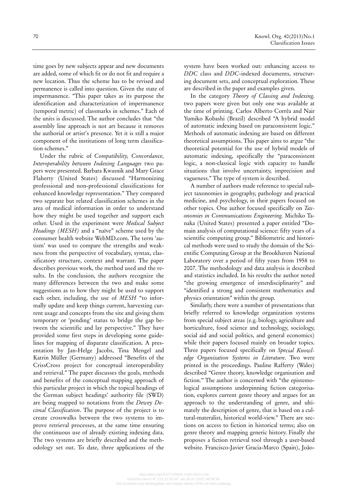time goes by new subjects appear and new documents are added, some of which fit or do not fit and require a new location. Thus the scheme has to be revised and permanence is called into question. Given the state of impermanence. "This paper takes as its purpose the identification and characterization of impermanence (temporal metric) of classmarks in schemes." Each of the units is discussed. The author concludes that "the assembly line approach is not art because it removes the authorial or artist's presence. Yet it is still a major component of the institutions of long term classification schemes."

Under the rubric of *Compatibility, Concordance, Interoperability between Indexing Languages* two papers were presented. Barbara Kwasnik and Mary Grace Flaherty (United States) discussed "Harmonizing professional and non-professional classifications for enhanced knowledge representation." They compared two separate but related classification schemes in the area of medical information in order to understand how they might be used together and support each other. Used in the experiment were *Medical Subject Headings (MESH)* and a "naïve" scheme used by the consumer health website WebMD.com. The term 'autism' was used to compare the strengths and weakness from the perspective of vocabulary, syntax, classificatory structure, context and warrant. The paper describes previous work, the method used and the results. In the conclusion, the authors recognize the many differences between the two and make some suggestions as to how they might be used to support each other, including, the use of *MESH* "to informally update and keep things current, harvesting current usage and concepts from the site and giving them temporary or 'pending' status to bridge the gap between the scientific and lay perspective." They have provided some first steps in developing some guidelines for mapping of disparate classification. A presentation by Jan-Helge Jacobs, Tina Mengel and Katrin Müller (Germany) addressed "Benefits of the CrissCross project for conceptual interoperability and retrieval." The paper discusses the goals, methods and benefits of the conceptual mapping approach of this particular project in which the topical headings of the German subject headings' authority file (SWD) are being mapped to notations from the *Dewey Decimal Classification*. The purpose of the project is to create crosswalks between the two systems to improve retrieval processes, at the same time ensuring the continuous use of already existing indexing data. The two systems are briefly described and the methodology set out. To date, three applications of the

system have been worked out: enhancing access to *DDC* class and *DDC*-indexed documents, structuring document sets, and conceptual exploration. These are described in the paper and examples given.

In the category *Theory of Classing and Indexing,*  two papers were given but only one was available at the time of printing. Carlos Alberto Corrêa and Nair Yumiko Kobashi (Brazil) described "A hybrid model of automatic indexing based on paraconsistent logic." Methods of automatic indexing are based on different theoretical assumptions. This paper aims to argue "the theoretical potential for the use of hybrid models of automatic indexing, specifically the "paraconsistent logic, a non-classical logic with capacity to handle situations that involve uncertainty, imprecision and vagueness." The type of system is described.

A number of authors made reference to special subject taxonomies in geography, pathology and practical medicine, and psychology, in their papers focused on other topics. One author focused specifically on *Taxonomies in Communications Engineering.* Michiko Tanaka (United States) presented a paper entitled "Domain analysis of computational science: fifty years of a scientific computing group." Bibliometric and historical methods were used to study the domain of the Scientific Computing Group at the Brookhaven National Laboratory over a period of fifty years from 1958 to 2007. The methodology and data analysis is described and statistics included. In his results the author noted "the growing emergence of interdisciplinarity" and "identified a strong and consistent mathematics and physics orientation" within the group.

Similarly, there were a number of presentations that briefly referred to knowledge organization systems from special subject areas (e.g. biology, agriculture and horticulture, food science and technology, sociology, social aid and social politics, and general economics) while their papers focused mainly on broader topics. Three papers focused specifically on *Special Knowledge Organization Systems in Literature*. Two were printed in the proceedings. Pauline Rafferty (Wales) described "Genre theory, knowledge organisation and fiction." The author is concerned with "the epistemological assumptions underpinning fiction categorisation, explores current genre theory and argues for an approach to the understanding of genre, and ultimately the description of genre, that is based on a cultural-materalist, historical world-view." There are sections on access to fiction in historical terms; also on genre theory and mapping generic history. Finally she proposes a fiction retrieval tool through a user-based website. Francisco-Javier Gracia-Marco (Spain), Joâo-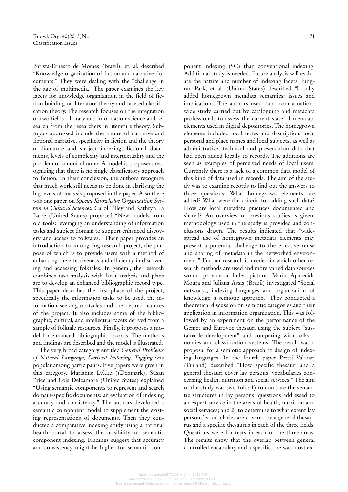Batista-Ernesto de Moraes (Brazil), et. al. described "Knowledge organization of fiction and narrative documents." They were dealing with the "challenge in the age of multimedia." The paper examines the key facets for knowledge organization in the field of fiction building on literature theory and faceted classification theory. The research focuses on the integration of two fields—library and information science and research from the researchers in literature theory. Subtopics addressed include the nature of narrative and fictional narrative, specificity in fiction and the theory of literature and subject indexing, fictional documents, levels of complexity and intertextuality and the problem of canonical order. A model is proposed, recognizing that there is no single classificatory approach to fiction. In their conclusion, the authors recognize that much work still needs to be done in clarifying the big levels of analysis proposed in the paper. Also there was one paper on *Special Knowledge Organization System in Cultural Sciences.* Carol Tilley and Kathryn La Barre (United States) proposed "New models from old tools: leveraging an understanding of information tasks and subject domain to support enhanced discovery and access to folktales." Their paper provides an introduction to an ongoing research project, the purpose of which is to provide users with a method of enhancing the effectiveness and efficiency in discovering and accessing folktales. In general, the research combines task analysis with facet analysis and plans are to develop an enhanced bibliographic record type. This paper describes the first phase of the project, specifically the information tasks to be used, the information seeking obstacles and the desired features of the project. It also includes some of the bibliographic, cultural, and intellectual facets derived from a sample of folktale resources. Finally, it proposes a model for enhanced bibliographic records. The methods and findings are described and the model is illustrated.

The very broad category entitled *General Problems of Natural Language, Derived Indexing, Tagging* was popular among participants. Five papers were given in this category. Marianne Lykke ((Denmark), Susan Price and Lois Delcambre (United States) explained "Using semantic components to represent and search domain-specific documents: an evaluation of indexing accuracy and consistency." The authors developed a semantic component model to supplement the existing representations of documents. Then they conducted a comparative indexing study using a national health portal to assess the feasibility of semantic component indexing. Findings suggest that accuracy and consistency might be higher for semantic component indexing (SC) than conventional indexing. Additional study is needed. Future analysis will evaluate the nature and number of indexing facets. Jungran Park, et al. (United States) described "Locally added homegrown metadata semantics: issues and implications. The authors used data from a nationwide study carried out by cataloguing and metadata professionals to assess the current state of metadata elements used in digital depositories. The homegrown elements included local notes and description, local personal and place names and local subjects, as well as administrative, technical and preservation data that had been added locally to records. The additions are seen as examples of perceived needs of local users. Currently there is a lack of a common data model of this kind of data used in records. The aim of the study was to examine records to find out the answers to three questions: What homegrown elements are added? What were the criteria for adding such data? How are local metadata practices documented and shared? An overview of previous studies is given; methodology used in the study is provided and conclusions drawn. The results indicated that "widespread use of homegrown metadata elements may present a potential challenge to the effective reuse and sharing of metadata in the networked environment." Further research is needed in which other research methods are used and more varied data sources would provide a fuller picture. Maria Aparecida Moura and Juliana Assis (Brazil) investigated "Social networks, indexing languages and organization of knowledge: a semiotic approach." They conducted a theoretical discussion on semiotic categories and their application in information organization. This was followed by an experiment on the performance of the Gemet and Eurovoc thesauri using the subject "sustainable development" and comparing with folksonomies and classification systems. The result was a proposal for a semiotic approach to design of indexing languages. In the fourth paper Pertti Vakkari (Finland) described "How specific thesauri and a general thesauri cover lay persons' vocabularies concerning health, nutrition and social services." The aim of the study was two-fold: 1) to compare the semantic structures in lay persons' questions addressed to an expert service in the areas of health, nutrition and social services; and 2) to determine to what extent lay persons' vocabularies are covered by a general thesaurus and a specific thesaurus in each of the three fields. Questions were for tests in each of the three areas. The results show that the overlap between general controlled vocabulary and a specific one was most ex-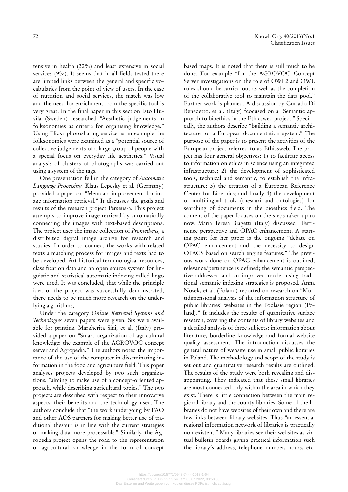tensive in health (32%) and least extensive in social services (9%). It seems that in all fields tested there are limited links between the general and specific vocabularies from the point of view of users. In the case of nutrition and social services, the match was low and the need for enrichment from the specific tool is very great. In the final paper in this section Isto Huvila (Sweden) researched "Aesthetic judgements in folksonomies as criteria for organising knowledge." Using Flickr photosharing service as an example the folksonomies were examined as a "potential source of collective judgements of a large group of people with a special focus on everyday life aesthetics." Visual analysis of clusters of photographs was carried out using a system of the tags.

One presentation fell in the category of *Automatic Language Processing.* Klaus Lepesky et al. (Germany) provided a paper on "Metadata improvement for image information retrieval." It discusses the goals and results of the research project Perseus-a. This project attempts to improve image retrieval by automatically connecting the images with text-based descriptions. The project uses the image collection of *Prometheus,* a distributed digital image archive for research and studies. In order to connect the works with related texts a matching process for images and texts had to be developed. Art historical terminological resources, classification data and an open source system for linguistic and statistical automatic indexing called lingo were used. It was concluded, that while the principle idea of the project was successfully demonstrated, there needs to be much more research on the underlying algorithms,

Under the category *Online Retrieval Systems and Technologies* seven papers were given. Six were available for printing. Margherita Sini, et al. (Italy) provided a paper on "Smart organization of agricultural knowledge: the example of the AGROVOC concept server and Agropedia." The authors noted the importance of the use of the computer in disseminating information in the food and agriculture field. This paper analyses projects developed by two such organizations, "aiming to make use of a concept-oriented approach, while describing agricultural topics." The two projects are described with respect to their innovative aspects, their benefits and the technology used. The authors conclude that "the work undergoing by FAO and other AOS partners for making better use of traditional thesauri is in line with the current strategies of making data more processable." Similarly, the Agropedia project opens the road to the representation of agricultural knowledge in the form of concept based maps. It is noted that there is still much to be done. For example "for the AGROVOC Concept Server investigations on the role of OWL2 and OWL rules should be carried out as well as the completion of the collaborative tool to maintain the data pool." Further work is planned. A discussion by Currado Di Benedetto, et al. (Italy) fcocused on a "Semantic approach to bioethics in the Ethicsweb project." Specifically, the authors describe "building a semantic architecture for a European documentation system." The purpose of the paper is to present the activities of the European project referred to as Ethicsweb. The project has four general objectives: 1) to facilitate access to information on ethics in science using an integrated infrastructure; 2) the development of sophisticated tools, technical and semantic, to establish the infrastructure; 3) the creation of a European Reference Center for Bioethics; and finally 4) the development of multilingual tools (thesauri and ontologies) for searching of documents in the bioethics field. The content of the paper focuses on the steps taken up to now. Maria Teresa Biagetti (Italy) discussed "Pertinence perspective and OPAC enhancement. A starting point for her paper is the ongoing "debate on OPAC enhancement and the necessity to design OPACS based on search engine features." The previous work done on OPAC enhancement is outlined; relevance/pertinence is defined; the semantic perspective addressed and an improved model using traditional semantic indexing strategies is proposed. Anna Nosek, et al. (Poland) reported on research on "Multidimensional analysis of the information structure of public libraries' websites in the Podlasie region (Poland)." It includes the results of quantitative surface research, covering the contents of library websites and a detailed analysis of three subjects: information about literature, borderline knowledge and formal website quality assessment. The introduction discusses the general nature of website use in small public libraries in Poland. The methodology and scope of the study is set out and quantitative research results are outlined. The results of the study were both revealing and disappointing. They indicated that these small libraries are most connected only within the area in which they exist. There is little connection between the main regional library and the county libraries. Some of the libraries do not have websites of their own and there are few links between library websites. Thus "an essential regional information network of libraries is practically non-existent." Many libraries see their websites as virtual bulletin boards giving practical information such the library's address, telephone number, hours, etc.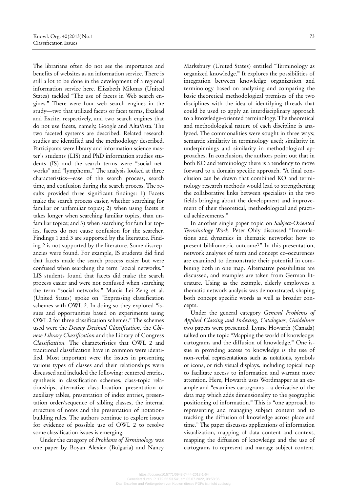The librarians often do not see the importance and benefits of websites as an information service. There is still a lot to be done in the development of a regional information service here. Elizabeth Milonas (United States) tackled "The use of facets in Web search engines." There were four web search engines in the study—two that utilized facets or facet terms, Exalead and Excite, respectively, and two search engines that do not use facets, namely, Google and AltaVista. The two faceted systems are described. Related research studies are identified and the methodology described. Participants were library and information science master's students (LIS) and PhD information studies students (IS) and the search terms were "social networks" and "lymphoma." The analysis looked at three characteristics—ease of the search process, search time, and confusion during the search process. The results provided three significant findings: 1) Facets make the search process easier, whether searching for familiar or unfamiliar topics; 2) when using facets it takes longer when searching familiar topics, than unfamiliar topics; and 3) when searching for familiar topics, facets do not cause confusion for the searcher. Findings 1 and 3 are supported by the literature. Finding 2 is not supported by the literature. Some discrepancies were found. For example, IS students did find that facets made the search process easier but were confused when searching the term "social networks." LIS students found that facets did make the search process easier and were not confused when searching the term "social networks." Marcia Lei Zeng et al. (United States) spoke on "Expressing classification schemes with OWL 2. In doing so they explored "issues and opportunities based on experiments using OWL 2 for three classification schemes." The schemes used were the *Dewey Decimal Classification,* the *Chinese Library Classification* and the Library of Congress *Classification.* The characteristics that OWL 2 and traditional classification have in common were identified. Most important were the issues in presenting various types of classes and their relationships were discussed and included the following: centered entries, synthesis in classification schemes, class-topic relationships, alternative class location, presentation of auxiliary tables, presentation of index entries, presentation order/sequence of sibling classes, the internal structure of notes and the presentation of notationbuilding rules. The authors continue to explore issues for evidence of possible use of OWL 2 to resolve some classification issues is emerging.

Under the category of *Problems of Terminology* was one paper by Boyan Alexiev (Bulgaria) and Nancy

Marksbury (United States) entitled "Terminology as organized knowledge.**"** It explores the possibilities of integration between knowledge organization and terminology based on analyzing and comparing the basic theoretical methodological premises of the two disciplines with the idea of identifying threads that could be used to apply an interdisciplinary approach to a knowledge-oriented terminology. The theoretical and methodological nature of each discipline is analyzed. The commonalities were sought in three ways; semantic similarity in terminology used; similarity in underpinnings and similarity in methodological approaches. In conclusion, the authors point out that in both KO and terminology there is a tendency to move forward to a domain specific approach. "A final conclusion can be drawn that combined KO and terminology research methods would lead to strengthening the collaborative links between specialists in the two fields bringing about the development and improvement of their theoretical, methodological and practical achievements."

In another single paper topic on *Subject-Oriented Terminology Work,* Peter Ohly discussed "Interrelations and dynamics in thematic networks: how to present bibliometric outcome?" In this presentation, network analyses of term and concept co-occurences are examined to demonstrate their potential in combining both in one map. Alternative possibilities are discussed, and examples are taken from German literature. Using as the example, elderly employees a thematic network analysis was demonstrated, shaping both concept specific words as well as broader concepts.

Under the general category *General Problems of Applied Classing and Indexing, Catalogues, Guidelines*  two papers were presented. Lynne Howarth (Canada) talked on the topic "Mapping the world of knowledge: cartograms and the diffusion of knowledge." One issue in providing access to knowledge is the use of non-verbal representations such as notations, symbols or icons, or rich visual displays, including topical map to facilitate access to information and warrant more attention. Here, Howarth uses Wordmapper as an example and "examines cartograms – a derivative of the data map which adds dimensionality to the geographic positioning of information." This is "one approach to representing and managing subject content and to tracking the diffusion of knowledge across place and time." The paper discusses applications of information visualization, mapping of data content and context, mapping the diffusion of knowledge and the use of cartograms to represent and manage subject content.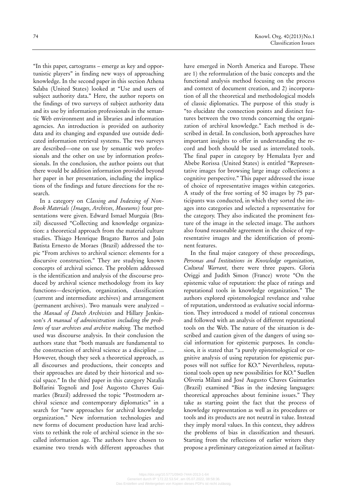"In this paper, cartograms – emerge as key and opportunistic players" in finding new ways of approaching

knowledge. In the second paper in this section Athena Salaba (United States) looked at "Use and users of subject authority data." Here, the author reports on the findings of two surveys of subject authority data and its use by information professionals in the semantic Web environment and in libraries and information agencies. An introduction is provided on authority data and its changing and expanded use outside dedicated information retrieval systems. The two surveys are described—one on use by semantic web professionals and the other on use by information professionals. In the conclusion, the author points out that there would be addition information provided beyond her paper in her presentation, including the implications of the findings and future directions for the research.

In a category on *Classing and Indexing of Non-Book Materials (Images, Archives, Museums)* four presentations were given. Edward Ismael Murguia (Brazil) discussed "Collecting and knowledge organization: a theoretical approach from the material culture studies. Thiago Henrique Bragato Barros and Joân Batista Ernesto de Moraes (Brazil) addressed the topic "From archives to archival science: elements for a discursive construction." They are studying known concepts of archival science. The problem addressed is the identification and analysis of the discourse produced by archival science methodology from its key functions—description, organization, classification (current and intermediate archives) and arrangement (permanent archives). Two manuals were analyzed – the *Manual of Dutch Archivists* and Hillary Jenkinson's *A manual of administration including the problems of war archives and archive making.* The method used was discourse analysis. In their conclusion the authors state that "both manuals are fundamental to the construction of archival science as a discipline … However, though they seek a theoretical approach, as all discourses and productions, their concepts and their approaches are dated by their historical and social space." In the third paper in this category Natalia Bolfarini Tognoli and José Augosto Chaves Guimarâes (Brazil) addressed the topic "Postmodern archival science and contemporary diplomatics" in a search for "new approaches for archival knowledge organization." New information technologies and new forms of document production have lead archivists to rethink the role of archival science in the socalled information age. The authors have chosen to examine two trends with different approaches that have emerged in North America and Europe. These are 1) the reformulation of the basic concepts and the functional analysis method focusing on the process and context of document creation, and 2) incorporation of all the theoretical and methodological models of classic diplomatics. The purpose of this study is "to elucidate the connection points and distinct features between the two trends concerning the organization of archival knowledge." Each method is described in detail. In conclusion, both approaches have important insights to offer in understanding the record and both should be used as interrelated tools. The final paper in category by Hemalata Iyer and Abebe Rorissa (United States) is entitled "Representative images for browsing large image collections: a cognitive perspective." This paper addressed the issue of choice of representative images within categories. A study of the free sorting of 50 images by 75 par-

ticipants was conducted, in which they sorted the images into categories and selected a representative for the category. They also indicated the prominent feature of the image in the selected image. The authors also found reasonable agreement in the choice of representative images and the identification of prominent features.

In the final major category of these proceedings, *Personas and Institutions in Knowledge organization, Cultural Warrant,* there were three papers. Gloria Origgi and Judith Simon (France) wrote "On the epistemic value of reputation: the place of ratings and reputational tools in knowledge organization." The authors explored epistemological revelance and value of reputation, understood as evaluative social information. They introduced a model of rational concensus and followed with an analysis of different reputational tools on the Web. The nature of the situation is described and caution given of the dangers of using social information for epistemic purposes. In conclusion, it is stated that "a purely epistemologtical or cognitive analysis of using reputation for epistemic purposes will not suffice for KO." Nevertheless, reputational tools open up new possibilities for KO." Suellen Oliveria Milani and José Augusto Chaves Guimarâes (Brazil) examined "Bias in the indexing languages: theoretical approaches about feminine issues." They take as starting point the fact that the process of knowledge representation as well as its procedures or tools and its products are not neutral in value. Instead they imply moral values. In this context, they address the problems of bias in classification and thesauri. Starting from the reflections of earlier writers they propose a preliminary categorization aimed at facilitat-